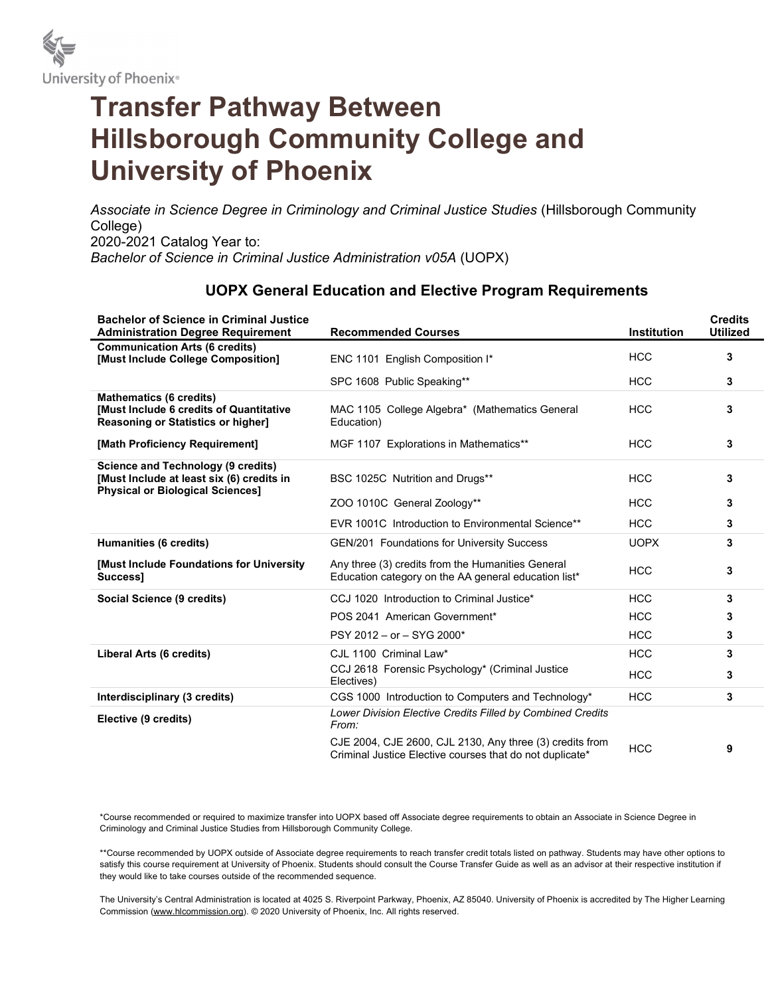

# Transfer Pathway Between Hillsborough Community College and University of Phoenix

Associate in Science Degree in Criminology and Criminal Justice Studies (Hillsborough Community College) 2020-2021 Catalog Year to: Bachelor of Science in Criminal Justice Administration v05A (UOPX)

## UOPX General Education and Elective Program Requirements

| <b>Bachelor of Science in Criminal Justice</b><br><b>Administration Degree Requirement</b>                                        | <b>Recommended Courses</b>                                                                                           | <b>Institution</b> | <b>Credits</b><br><b>Utilized</b> |
|-----------------------------------------------------------------------------------------------------------------------------------|----------------------------------------------------------------------------------------------------------------------|--------------------|-----------------------------------|
| <b>Communication Arts (6 credits)</b><br>[Must Include College Composition]                                                       | ENC 1101 English Composition I*                                                                                      | <b>HCC</b>         | 3                                 |
|                                                                                                                                   | SPC 1608 Public Speaking**                                                                                           | <b>HCC</b>         | 3                                 |
| <b>Mathematics (6 credits)</b><br><b>IMust Include 6 credits of Quantitative</b><br>Reasoning or Statistics or higher]            | MAC 1105 College Algebra* (Mathematics General<br>Education)                                                         | <b>HCC</b>         | 3                                 |
| [Math Proficiency Requirement]                                                                                                    | MGF 1107 Explorations in Mathematics**                                                                               | <b>HCC</b>         | 3                                 |
| <b>Science and Technology (9 credits)</b><br>[Must Include at least six (6) credits in<br><b>Physical or Biological Sciences]</b> | BSC 1025C Nutrition and Drugs**                                                                                      | <b>HCC</b>         | 3                                 |
|                                                                                                                                   | ZOO 1010C General Zoology**                                                                                          | <b>HCC</b>         | 3                                 |
|                                                                                                                                   | EVR 1001C Introduction to Environmental Science**                                                                    | <b>HCC</b>         | 3                                 |
| Humanities (6 credits)                                                                                                            | <b>GEN/201 Foundations for University Success</b>                                                                    | <b>UOPX</b>        | 3                                 |
| [Must Include Foundations for University<br>Success1                                                                              | Any three (3) credits from the Humanities General<br>Education category on the AA general education list*            | <b>HCC</b>         | 3                                 |
| Social Science (9 credits)                                                                                                        | CCJ 1020 Introduction to Criminal Justice*                                                                           | <b>HCC</b>         | 3                                 |
|                                                                                                                                   | POS 2041 American Government*                                                                                        | <b>HCC</b>         | 3                                 |
|                                                                                                                                   | PSY 2012 - or - SYG 2000*                                                                                            | <b>HCC</b>         | 3                                 |
| Liberal Arts (6 credits)                                                                                                          | CJL 1100 Criminal Law*                                                                                               | <b>HCC</b>         | 3                                 |
|                                                                                                                                   | CCJ 2618 Forensic Psychology* (Criminal Justice<br>Electives)                                                        | <b>HCC</b>         | 3                                 |
| Interdisciplinary (3 credits)                                                                                                     | CGS 1000 Introduction to Computers and Technology*                                                                   | <b>HCC</b>         | 3                                 |
| Elective (9 credits)                                                                                                              | Lower Division Elective Credits Filled by Combined Credits<br>From:                                                  |                    |                                   |
|                                                                                                                                   | CJE 2004, CJE 2600, CJL 2130, Any three (3) credits from<br>Criminal Justice Elective courses that do not duplicate* | <b>HCC</b>         | 9                                 |

\*Course recommended or required to maximize transfer into UOPX based off Associate degree requirements to obtain an Associate in Science Degree in Criminology and Criminal Justice Studies from Hillsborough Community College.

\*\*Course recommended by UOPX outside of Associate degree requirements to reach transfer credit totals listed on pathway. Students may have other options to satisfy this course requirement at University of Phoenix. Students should consult the Course Transfer Guide as well as an advisor at their respective institution if they would like to take courses outside of the recommended sequence.

The University's Central Administration is located at 4025 S. Riverpoint Parkway, Phoenix, AZ 85040. University of Phoenix is accredited by The Higher Learning Commission (www.hlcommission.org). © 2020 University of Phoenix, Inc. All rights reserved.